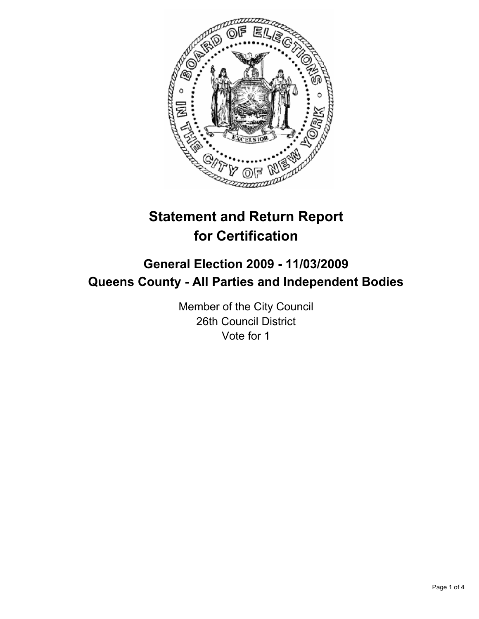

# **Statement and Return Report for Certification**

## **General Election 2009 - 11/03/2009 Queens County - All Parties and Independent Bodies**

Member of the City Council 26th Council District Vote for 1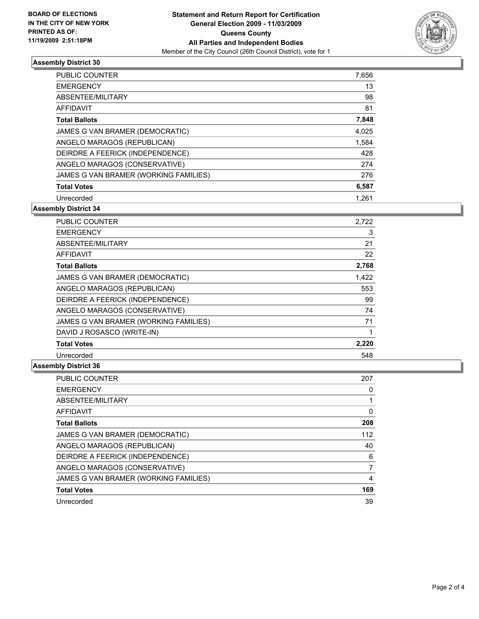

### **Assembly District 30**

| <b>PUBLIC COUNTER</b>                 | 7.656 |
|---------------------------------------|-------|
| <b>EMERGENCY</b>                      | 13    |
| ABSENTEE/MILITARY                     | 98    |
| AFFIDAVIT                             | 81    |
| <b>Total Ballots</b>                  | 7,848 |
| JAMES G VAN BRAMER (DEMOCRATIC)       | 4,025 |
| ANGELO MARAGOS (REPUBLICAN)           | 1,584 |
| DEIRDRE A FEERICK (INDEPENDENCE)      | 428   |
| ANGELO MARAGOS (CONSERVATIVE)         | 274   |
| JAMES G VAN BRAMER (WORKING FAMILIES) | 276   |
| <b>Total Votes</b>                    | 6,587 |
| Unrecorded                            | 1.261 |

**Assembly District 34**

| <b>PUBLIC COUNTER</b>                 | 2.722 |
|---------------------------------------|-------|
| <b>EMERGENCY</b>                      | 3     |
| ABSENTEE/MILITARY                     | 21    |
| <b>AFFIDAVIT</b>                      | 22    |
| <b>Total Ballots</b>                  | 2,768 |
| JAMES G VAN BRAMER (DEMOCRATIC)       | 1,422 |
| ANGELO MARAGOS (REPUBLICAN)           | 553   |
| DEIRDRE A FEERICK (INDEPENDENCE)      | 99    |
| ANGELO MARAGOS (CONSERVATIVE)         | 74    |
| JAMES G VAN BRAMER (WORKING FAMILIES) | 71    |
| DAVID J ROSASCO (WRITE-IN)            |       |
| <b>Total Votes</b>                    | 2,220 |
| Unrecorded                            | 548   |

### **Assembly District 36**

| <b>PUBLIC COUNTER</b>                 | 207      |
|---------------------------------------|----------|
| <b>EMERGENCY</b>                      | 0        |
| ABSENTEE/MILITARY                     |          |
| <b>AFFIDAVIT</b>                      | $\Omega$ |
| <b>Total Ballots</b>                  | 208      |
| JAMES G VAN BRAMER (DEMOCRATIC)       | 112      |
| ANGELO MARAGOS (REPUBLICAN)           | 40       |
| DEIRDRE A FEERICK (INDEPENDENCE)      | 6        |
| ANGELO MARAGOS (CONSERVATIVE)         |          |
| JAMES G VAN BRAMER (WORKING FAMILIES) | 4        |
| <b>Total Votes</b>                    | 169      |
| Unrecorded                            | 39       |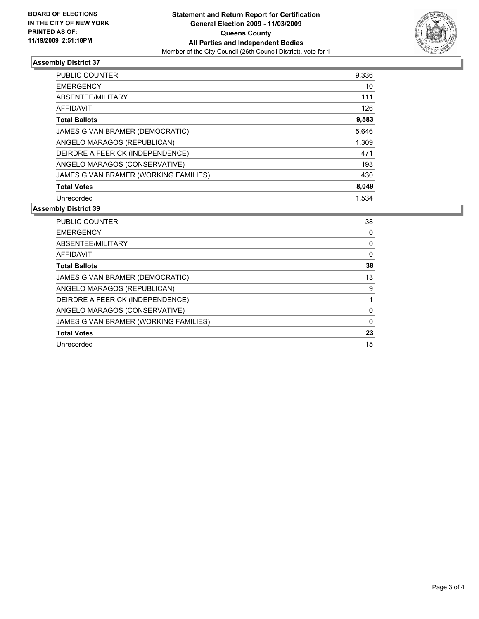

### **Assembly District 37**

| <b>PUBLIC COUNTER</b>                 | 9,336 |
|---------------------------------------|-------|
| <b>EMERGENCY</b>                      | 10    |
| ABSENTEE/MILITARY                     | 111   |
| AFFIDAVIT                             | 126   |
| <b>Total Ballots</b>                  | 9,583 |
| JAMES G VAN BRAMER (DEMOCRATIC)       | 5,646 |
| ANGELO MARAGOS (REPUBLICAN)           | 1,309 |
| DEIRDRE A FEERICK (INDEPENDENCE)      | 471   |
| ANGELO MARAGOS (CONSERVATIVE)         | 193   |
| JAMES G VAN BRAMER (WORKING FAMILIES) | 430   |
| <b>Total Votes</b>                    | 8,049 |
| Unrecorded                            | 1.534 |

#### **Assembly District 39**

| <b>PUBLIC COUNTER</b>                 | 38 |
|---------------------------------------|----|
| <b>EMERGENCY</b>                      | 0  |
| ABSENTEE/MILITARY                     | 0  |
| AFFIDAVIT                             | 0  |
| <b>Total Ballots</b>                  | 38 |
| JAMES G VAN BRAMER (DEMOCRATIC)       | 13 |
| ANGELO MARAGOS (REPUBLICAN)           | 9  |
| DEIRDRE A FEERICK (INDEPENDENCE)      |    |
| ANGELO MARAGOS (CONSERVATIVE)         | 0  |
| JAMES G VAN BRAMER (WORKING FAMILIES) | 0  |
| <b>Total Votes</b>                    | 23 |
| Unrecorded                            | 15 |